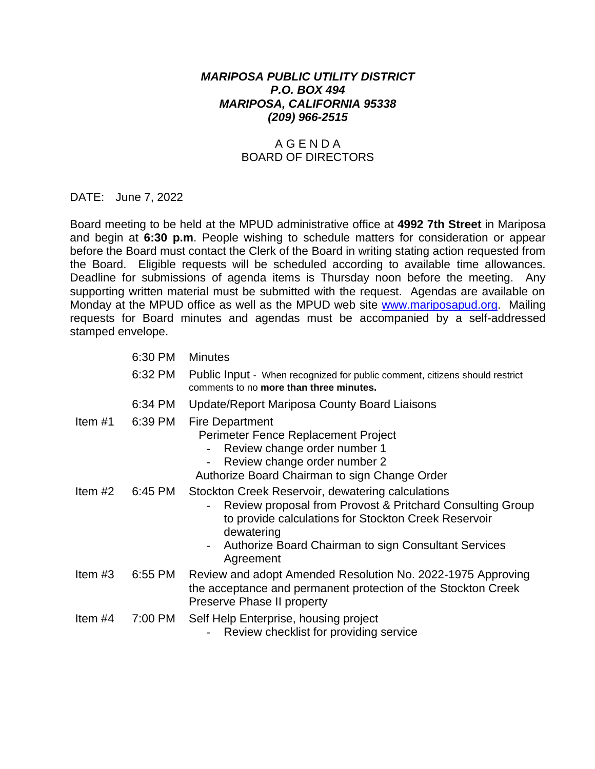## *MARIPOSA PUBLIC UTILITY DISTRICT P.O. BOX 494 MARIPOSA, CALIFORNIA 95338 (209) 966-2515*

## A G E N D A BOARD OF DIRECTORS

## DATE: June 7, 2022

Board meeting to be held at the MPUD administrative office at **4992 7th Street** in Mariposa and begin at **6:30 p.m**. People wishing to schedule matters for consideration or appear before the Board must contact the Clerk of the Board in writing stating action requested from the Board. Eligible requests will be scheduled according to available time allowances. Deadline for submissions of agenda items is Thursday noon before the meeting. Any supporting written material must be submitted with the request. Agendas are available on Monday at the MPUD office as well as the MPUD web site [www.mariposapud.org.](http://www.mariposapud.org/) Mailing requests for Board minutes and agendas must be accompanied by a self-addressed stamped envelope.

|           | 6:30 PM | <b>Minutes</b>                                                                                                                                                                                                                                                                        |
|-----------|---------|---------------------------------------------------------------------------------------------------------------------------------------------------------------------------------------------------------------------------------------------------------------------------------------|
|           | 6:32 PM | Public Input - When recognized for public comment, citizens should restrict<br>comments to no more than three minutes.                                                                                                                                                                |
|           | 6:34 PM | <b>Update/Report Mariposa County Board Liaisons</b>                                                                                                                                                                                                                                   |
| Item $#1$ | 6:39 PM | <b>Fire Department</b><br>Perimeter Fence Replacement Project<br>Review change order number 1<br>Review change order number 2<br>Authorize Board Chairman to sign Change Order                                                                                                        |
| Item $#2$ | 6:45 PM | Stockton Creek Reservoir, dewatering calculations<br>Review proposal from Provost & Pritchard Consulting Group<br>to provide calculations for Stockton Creek Reservoir<br>dewatering<br>Authorize Board Chairman to sign Consultant Services<br>$\overline{\phantom{a}}$<br>Agreement |
| Item $#3$ | 6:55 PM | Review and adopt Amended Resolution No. 2022-1975 Approving<br>the acceptance and permanent protection of the Stockton Creek<br>Preserve Phase II property                                                                                                                            |
| Item $#4$ | 7:00 PM | Self Help Enterprise, housing project<br>Review checklist for providing service                                                                                                                                                                                                       |